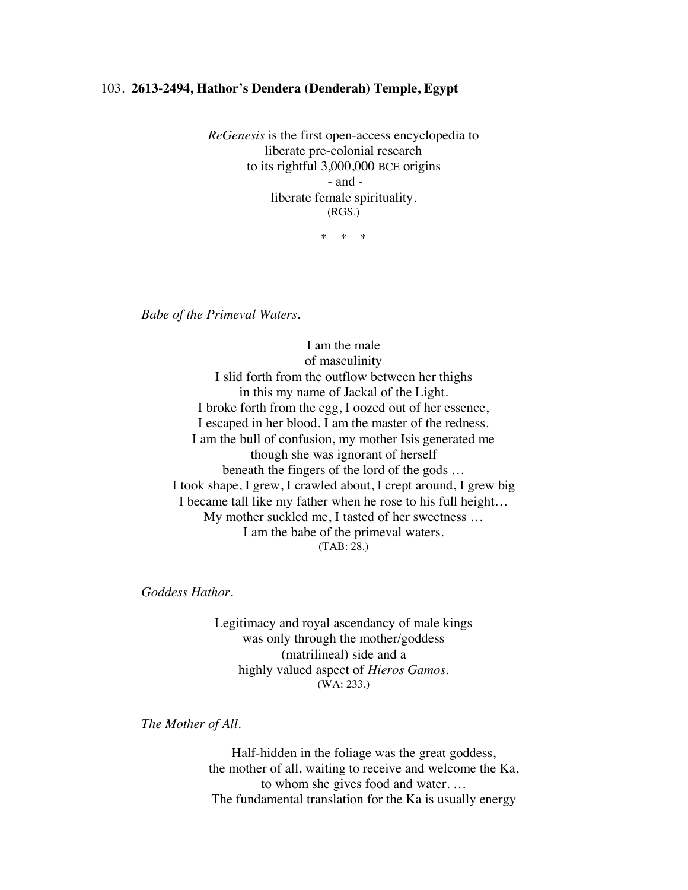## 103. **2613-2494, Hathor's Dendera (Denderah) Temple, Egypt**

*ReGenesis* is the first open-access encyclopedia to liberate pre-colonial research to its rightful 3,000,000 BCE origins - and liberate female spirituality. (RGS.)

\* \* \*

*Babe of the Primeval Waters.*

I am the male of masculinity I slid forth from the outflow between her thighs in this my name of Jackal of the Light. I broke forth from the egg, I oozed out of her essence, I escaped in her blood. I am the master of the redness. I am the bull of confusion, my mother Isis generated me though she was ignorant of herself beneath the fingers of the lord of the gods … I took shape, I grew, I crawled about, I crept around, I grew big I became tall like my father when he rose to his full height… My mother suckled me, I tasted of her sweetness … I am the babe of the primeval waters. (TAB: 28.)

*Goddess Hathor.*

Legitimacy and royal ascendancy of male kings was only through the mother/goddess (matrilineal) side and a highly valued aspect of *Hieros Gamos*. (WA: 233.)

*The Mother of All.*

Half-hidden in the foliage was the great goddess, the mother of all, waiting to receive and welcome the Ka, to whom she gives food and water. … The fundamental translation for the Ka is usually energy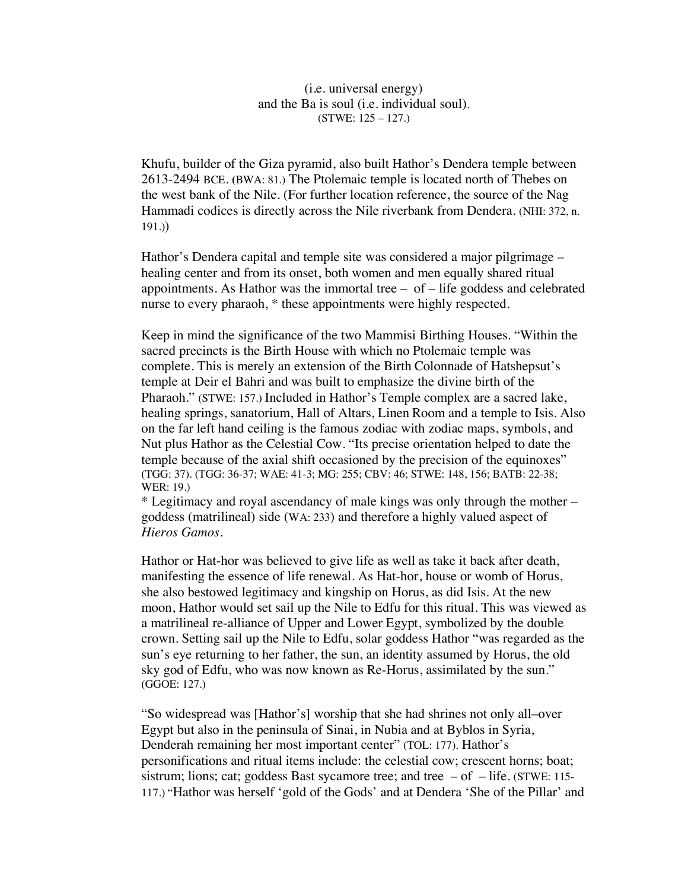(i.e. universal energy) and the Ba is soul (i.e. individual soul). (STWE: 125 – 127.)

Khufu, builder of the Giza pyramid, also built Hathor's Dendera temple between 2613-2494 BCE. **(**BWA: 81.) The Ptolemaic temple is located north of Thebes on the west bank of the Nile. (For further location reference, the source of the Nag Hammadi codices is directly across the Nile riverbank from Dendera. (NHI: 372, n. 191.))

Hathor's Dendera capital and temple site was considered a major pilgrimage – healing center and from its onset, both women and men equally shared ritual appointments. As Hathor was the immortal tree  $-$  of  $-$  life goddess and celebrated nurse to every pharaoh, \* these appointments were highly respected.

Keep in mind the significance of the two Mammisi Birthing Houses. "Within the sacred precincts is the Birth House with which no Ptolemaic temple was complete. This is merely an extension of the Birth Colonnade of Hatshepsut's temple at Deir el Bahri and was built to emphasize the divine birth of the Pharaoh." (STWE: 157.) Included in Hathor's Temple complex are a sacred lake, healing springs, sanatorium, Hall of Altars, Linen Room and a temple to Isis. Also on the far left hand ceiling is the famous zodiac with zodiac maps, symbols, and Nut plus Hathor as the Celestial Cow. "Its precise orientation helped to date the temple because of the axial shift occasioned by the precision of the equinoxes" (TGG: 37). (TGG: 36-37; WAE: 41-3; MG: 255; CBV: 46; STWE: 148, 156; BATB: 22-38; WER: 19.)

\* Legitimacy and royal ascendancy of male kings was only through the mother – goddess (matrilineal) side (WA: 233) and therefore a highly valued aspect of *Hieros Gamos*.

Hathor or Hat-hor was believed to give life as well as take it back after death, manifesting the essence of life renewal. As Hat-hor, house or womb of Horus, she also bestowed legitimacy and kingship on Horus, as did Isis. At the new moon, Hathor would set sail up the Nile to Edfu for this ritual. This was viewed as a matrilineal re-alliance of Upper and Lower Egypt, symbolized by the double crown. Setting sail up the Nile to Edfu, solar goddess Hathor "was regarded as the sun's eye returning to her father, the sun, an identity assumed by Horus, the old sky god of Edfu, who was now known as Re-Horus, assimilated by the sun." (GGOE: 127.)

"So widespread was [Hathor's] worship that she had shrines not only all–over Egypt but also in the peninsula of Sinai, in Nubia and at Byblos in Syria, Denderah remaining her most important center" (TOL: 177). Hathor's personifications and ritual items include: the celestial cow; crescent horns; boat; sistrum; lions; cat; goddess Bast sycamore tree; and tree  $-$  of  $-$  life. (STWE: 115-117.) "Hathor was herself 'gold of the Gods' and at Dendera 'She of the Pillar' and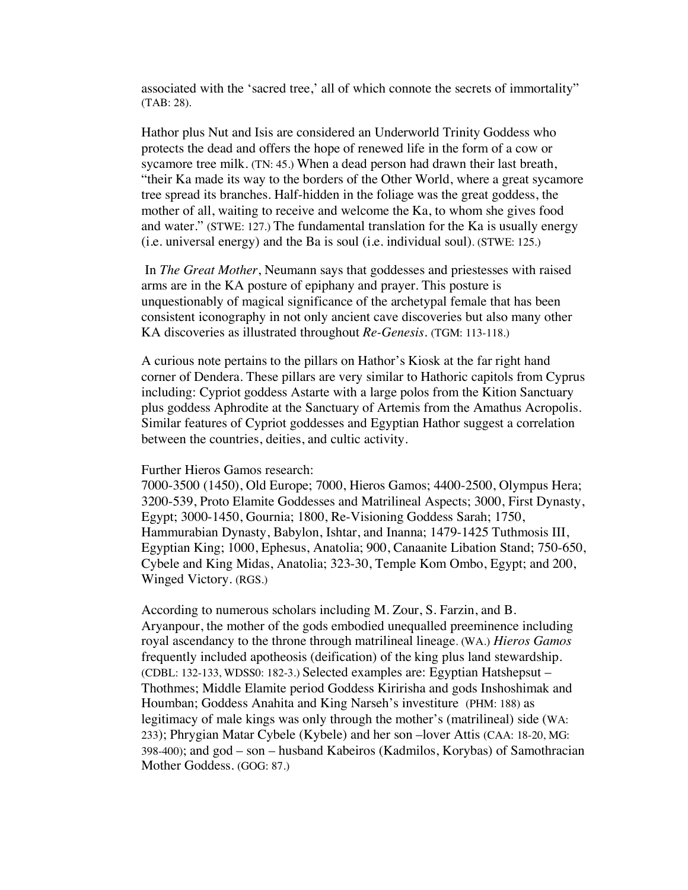associated with the 'sacred tree,' all of which connote the secrets of immortality" (TAB: 28).

Hathor plus Nut and Isis are considered an Underworld Trinity Goddess who protects the dead and offers the hope of renewed life in the form of a cow or sycamore tree milk. (TN: 45.) When a dead person had drawn their last breath, "their Ka made its way to the borders of the Other World, where a great sycamore tree spread its branches. Half-hidden in the foliage was the great goddess, the mother of all, waiting to receive and welcome the Ka, to whom she gives food and water." (STWE: 127.) The fundamental translation for the Ka is usually energy (i.e. universal energy) and the Ba is soul (i.e. individual soul). (STWE: 125.)

In *The Great Mother*, Neumann says that goddesses and priestesses with raised arms are in the KA posture of epiphany and prayer. This posture is unquestionably of magical significance of the archetypal female that has been consistent iconography in not only ancient cave discoveries but also many other KA discoveries as illustrated throughout *Re-Genesis.* (TGM: 113-118.)

A curious note pertains to the pillars on Hathor's Kiosk at the far right hand corner of Dendera. These pillars are very similar to Hathoric capitols from Cyprus including: Cypriot goddess Astarte with a large polos from the Kition Sanctuary plus goddess Aphrodite at the Sanctuary of Artemis from the Amathus Acropolis. Similar features of Cypriot goddesses and Egyptian Hathor suggest a correlation between the countries, deities, and cultic activity.

Further Hieros Gamos research:

7000-3500 (1450), Old Europe; 7000, Hieros Gamos; 4400-2500, Olympus Hera; 3200-539, Proto Elamite Goddesses and Matrilineal Aspects; 3000, First Dynasty, Egypt; 3000-1450, Gournia; 1800, Re-Visioning Goddess Sarah; 1750, Hammurabian Dynasty, Babylon, Ishtar, and Inanna; 1479-1425 Tuthmosis III, Egyptian King; 1000, Ephesus, Anatolia; 900, Canaanite Libation Stand; 750-650, Cybele and King Midas, Anatolia; 323-30, Temple Kom Ombo, Egypt; and 200, Winged Victory. (RGS.)

According to numerous scholars including M. Zour, S. Farzin, and B. Aryanpour, the mother of the gods embodied unequalled preeminence including royal ascendancy to the throne through matrilineal lineage. (WA.) *Hieros Gamos* frequently included apotheosis (deification) of the king plus land stewardship. (CDBL: 132-133, WDSS0: 182-3.) Selected examples are: Egyptian Hatshepsut – Thothmes; Middle Elamite period Goddess Kiririsha and gods Inshoshimak and Houmban; Goddess Anahita and King Narseh's investiture (PHM: 188) as legitimacy of male kings was only through the mother's (matrilineal) side (WA: 233); Phrygian Matar Cybele (Kybele) and her son –lover Attis (CAA: 18-20, MG: 398-400); and god – son – husband Kabeiros (Kadmilos, Korybas) of Samothracian Mother Goddess. (GOG: 87.)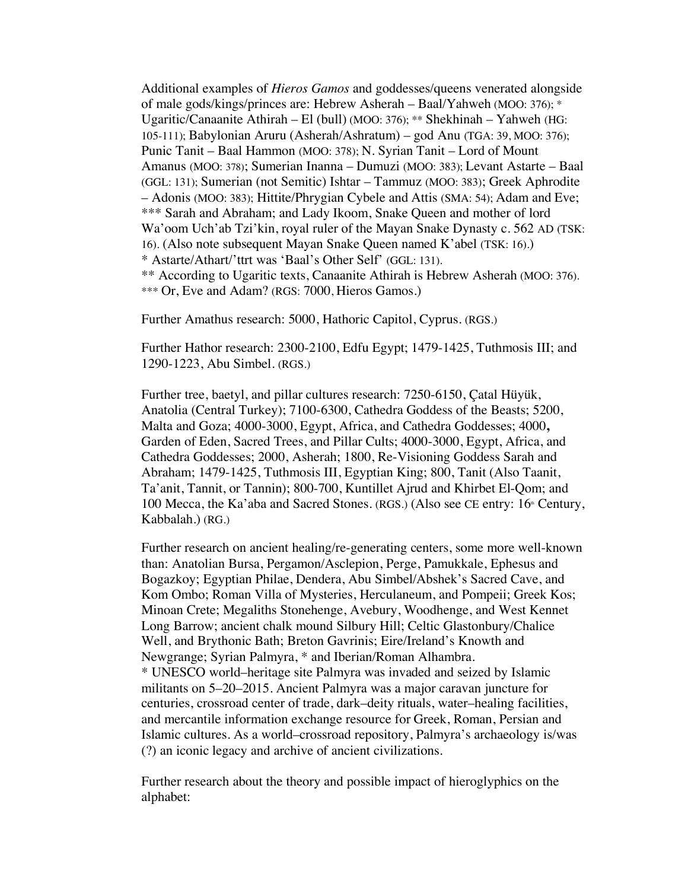Additional examples of *Hieros Gamos* and goddesses/queens venerated alongside of male gods/kings/princes are: Hebrew Asherah – Baal/Yahweh (MOO: 376); \* Ugaritic/Canaanite Athirah – El (bull) (MOO: 376); \*\* Shekhinah – Yahweh (HG: 105-111); Babylonian Aruru (Asherah/Ashratum) – god Anu (TGA: 39, MOO: 376); Punic Tanit – Baal Hammon (MOO: 378); N. Syrian Tanit – Lord of Mount Amanus (MOO: 378); Sumerian Inanna – Dumuzi (MOO: 383); Levant Astarte – Baal (GGL: 131); Sumerian (not Semitic) Ishtar – Tammuz (MOO: 383); Greek Aphrodite – Adonis (MOO: 383); Hittite/Phrygian Cybele and Attis (SMA: 54); Adam and Eve; \*\*\* Sarah and Abraham; and Lady Ikoom, Snake Queen and mother of lord Wa'oom Uch'ab Tzi'kin, royal ruler of the Mayan Snake Dynasty c. 562 AD (TSK: 16). (Also note subsequent Mayan Snake Queen named K'abel (TSK: 16).) \* Astarte/Athart/'ttrt was 'Baal's Other Self' (GGL: 131). \*\* According to Ugaritic texts, Canaanite Athirah is Hebrew Asherah (MOO: 376). \*\*\* Or, Eve and Adam? (RGS: 7000, Hieros Gamos.)

Further Amathus research: 5000, Hathoric Capitol, Cyprus. (RGS.)

Further Hathor research: 2300-2100, Edfu Egypt; 1479-1425, Tuthmosis III; and 1290-1223, Abu Simbel. (RGS.)

Further tree, baetyl, and pillar cultures research: 7250-6150, Çatal Hüyük, Anatolia (Central Turkey); 7100-6300, Cathedra Goddess of the Beasts; 5200, Malta and Goza; 4000-3000, Egypt, Africa, and Cathedra Goddesses; 4000**,**  Garden of Eden, Sacred Trees, and Pillar Cults; 4000-3000, Egypt, Africa, and Cathedra Goddesses; 2000, Asherah; 1800, Re-Visioning Goddess Sarah and Abraham; 1479-1425, Tuthmosis III, Egyptian King; 800, Tanit (Also Taanit, Ta'anit, Tannit, or Tannin); 800-700, Kuntillet Ajrud and Khirbet El-Qom; and 100 Mecca, the Ka'aba and Sacred Stones. (RGS.) (Also see CE entry:  $16<sup>*</sup>$  Century, Kabbalah.) (RG.)

Further research on ancient healing/re-generating centers, some more well-known than: Anatolian Bursa, Pergamon/Asclepion, Perge, Pamukkale, Ephesus and Bogazkoy; Egyptian Philae, Dendera, Abu Simbel/Abshek's Sacred Cave, and Kom Ombo; Roman Villa of Mysteries, Herculaneum, and Pompeii; Greek Kos; Minoan Crete; Megaliths Stonehenge, Avebury, Woodhenge, and West Kennet Long Barrow; ancient chalk mound Silbury Hill; Celtic Glastonbury/Chalice Well, and Brythonic Bath; Breton Gavrinis; Eire/Ireland's Knowth and Newgrange; Syrian Palmyra, \* and Iberian/Roman Alhambra. \* UNESCO world–heritage site Palmyra was invaded and seized by Islamic militants on 5–20–2015. Ancient Palmyra was a major caravan juncture for centuries, crossroad center of trade, dark–deity rituals, water–healing facilities, and mercantile information exchange resource for Greek, Roman, Persian and Islamic cultures. As a world–crossroad repository, Palmyra's archaeology is/was (?) an iconic legacy and archive of ancient civilizations.

Further research about the theory and possible impact of hieroglyphics on the alphabet: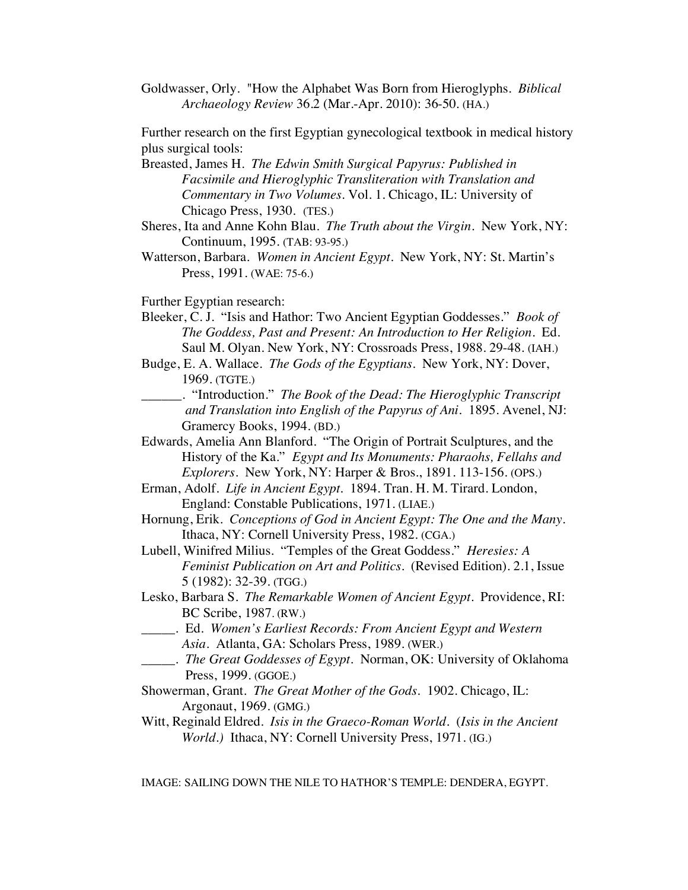Goldwasser, Orly. "How the Alphabet Was Born from Hieroglyphs. *Biblical Archaeology Review* 36.2 (Mar.-Apr. 2010): 36-50. (HA.)

Further research on the first Egyptian gynecological textbook in medical history plus surgical tools:

Breasted, James H. *The Edwin Smith Surgical Papyrus: Published in Facsimile and Hieroglyphic Transliteration with Translation and Commentary in Two Volumes*. Vol. 1. Chicago, IL: University of Chicago Press, 1930. (TES.)

- Sheres, Ita and Anne Kohn Blau. *The Truth about the Virgin*. New York, NY: Continuum, 1995. (TAB: 93-95.)
- Watterson, Barbara. *Women in Ancient Egypt*. New York, NY: St. Martin's Press, 1991. (WAE: 75-6.)

Further Egyptian research:

- Bleeker, C. J. "Isis and Hathor: Two Ancient Egyptian Goddesses." *Book of The Goddess, Past and Present: An Introduction to Her Religion.* Ed. Saul M. Olyan. New York, NY: Crossroads Press, 1988. 29-48. (IAH.)
- Budge, E. A. Wallace. *The Gods of the Egyptians.* New York, NY: Dover, 1969. (TGTE.)
- \_\_\_\_\_\_. "Introduction." *The Book of the Dead: The Hieroglyphic Transcript and Translation into English of the Papyrus of Ani*. 1895. Avenel, NJ: Gramercy Books, 1994. (BD.)
- Edwards, Amelia Ann Blanford. "The Origin of Portrait Sculptures, and the History of the Ka." *Egypt and Its Monuments: Pharaohs, Fellahs and Explorers*. New York, NY: Harper & Bros., 1891. 113-156. (OPS.)
- Erman, Adolf. *Life in Ancient Egypt.* 1894. Tran. H. M. Tirard. London, England: Constable Publications, 1971. (LIAE.)
- Hornung, Erik. *Conceptions of God in Ancient Egypt: The One and the Many*. Ithaca, NY: Cornell University Press, 1982. (CGA.)
- Lubell, Winifred Milius. "Temples of the Great Goddess." *Heresies: A Feminist Publication on Art and Politics.* (Revised Edition). 2.1, Issue 5 (1982): 32-39. (TGG.)
- Lesko, Barbara S. *The Remarkable Women of Ancient Egypt*. Providence, RI: BC Scribe, 1987. (RW.)
- \_\_\_\_\_. Ed. *Women's Earliest Records: From Ancient Egypt and Western Asia*. Atlanta, GA: Scholars Press, 1989. (WER.)
- \_\_\_\_\_. *The Great Goddesses of Egypt*. Norman, OK: University of Oklahoma Press, 1999. (GGOE.)
- Showerman, Grant. *The Great Mother of the Gods*. 1902. Chicago, IL: Argonaut, 1969. (GMG.)
- Witt, Reginald Eldred. *Isis in the Graeco-Roman World*. (*Isis in the Ancient World.)* Ithaca, NY: Cornell University Press, 1971. (IG.)

IMAGE: SAILING DOWN THE NILE TO HATHOR'S TEMPLE: DENDERA, EGYPT.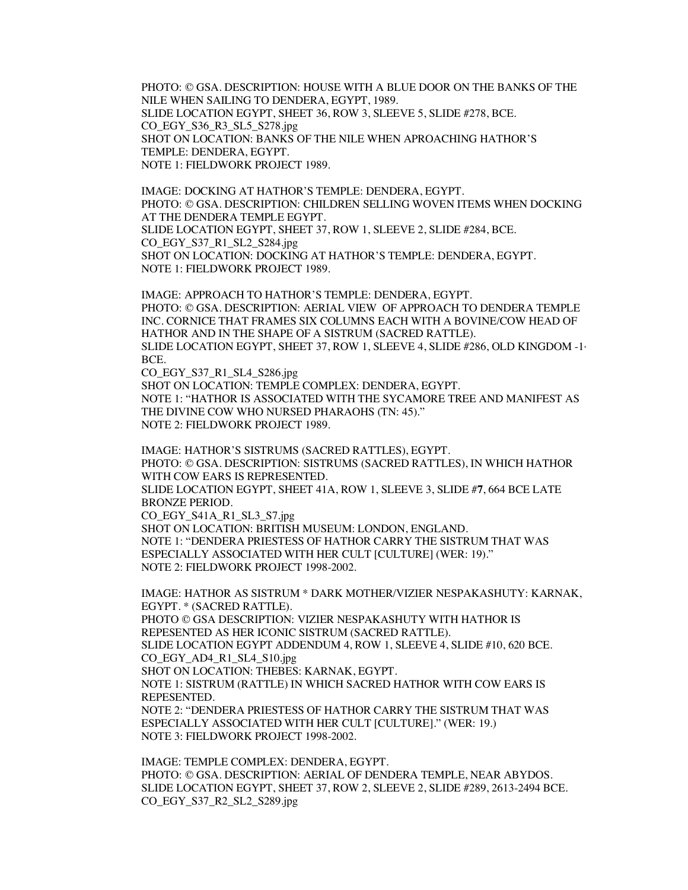PHOTO: © GSA. DESCRIPTION: HOUSE WITH A BLUE DOOR ON THE BANKS OF THE NILE WHEN SAILING TO DENDERA, EGYPT, 1989. SLIDE LOCATION EGYPT, SHEET 36, ROW 3, SLEEVE 5, SLIDE #278, BCE. CO\_EGY\_S36\_R3\_SL5\_S278.jpg SHOT ON LOCATION: BANKS OF THE NILE WHEN APROACHING HATHOR'S TEMPLE: DENDERA, EGYPT. NOTE 1: FIELDWORK PROJECT 1989.

IMAGE: DOCKING AT HATHOR'S TEMPLE: DENDERA, EGYPT. PHOTO: © GSA. DESCRIPTION: CHILDREN SELLING WOVEN ITEMS WHEN DOCKING AT THE DENDERA TEMPLE EGYPT. SLIDE LOCATION EGYPT, SHEET 37, ROW 1, SLEEVE 2, SLIDE #284, BCE. CO\_EGY\_S37\_R1\_SL2\_S284.jpg SHOT ON LOCATION: DOCKING AT HATHOR'S TEMPLE: DENDERA, EGYPT. NOTE 1: FIELDWORK PROJECT 1989.

IMAGE: APPROACH TO HATHOR'S TEMPLE: DENDERA, EGYPT. PHOTO: © GSA. DESCRIPTION: AERIAL VIEW OF APPROACH TO DENDERA TEMPLE INC. CORNICE THAT FRAMES SIX COLUMNS EACH WITH A BOVINE/COW HEAD OF HATHOR AND IN THE SHAPE OF A SISTRUM (SACRED RATTLE). SLIDE LOCATION EGYPT, SHEET 37, ROW 1, SLEEVE 4, SLIDE #286, OLD KINGDOM -1<sup>st</sup> BCE.

CO\_EGY\_S37\_R1\_SL4\_S286.jpg SHOT ON LOCATION: TEMPLE COMPLEX: DENDERA, EGYPT. NOTE 1: "HATHOR IS ASSOCIATED WITH THE SYCAMORE TREE AND MANIFEST AS THE DIVINE COW WHO NURSED PHARAOHS (TN: 45)." NOTE 2: FIELDWORK PROJECT 1989.

IMAGE: HATHOR'S SISTRUMS (SACRED RATTLES), EGYPT. PHOTO: © GSA. DESCRIPTION: SISTRUMS (SACRED RATTLES), IN WHICH HATHOR WITH COW EARS IS REPRESENTED. SLIDE LOCATION EGYPT, SHEET 41A, ROW 1, SLEEVE 3, SLIDE #**7**, 664 BCE LATE BRONZE PERIOD. CO\_EGY\_S41A\_R1\_SL3\_S7.jpg SHOT ON LOCATION: BRITISH MUSEUM: LONDON, ENGLAND. NOTE 1: "DENDERA PRIESTESS OF HATHOR CARRY THE SISTRUM THAT WAS ESPECIALLY ASSOCIATED WITH HER CULT [CULTURE] (WER: 19)." NOTE 2: FIELDWORK PROJECT 1998-2002.

IMAGE: HATHOR AS SISTRUM \* DARK MOTHER/VIZIER NESPAKASHUTY: KARNAK, EGYPT. \* (SACRED RATTLE). PHOTO © GSA DESCRIPTION: VIZIER NESPAKASHUTY WITH HATHOR IS REPESENTED AS HER ICONIC SISTRUM (SACRED RATTLE). SLIDE LOCATION EGYPT ADDENDUM 4, ROW 1, SLEEVE 4, SLIDE #10, 620 BCE. CO\_EGY\_AD4\_R1\_SL4\_S10.jpg SHOT ON LOCATION: THEBES: KARNAK, EGYPT. NOTE 1: SISTRUM (RATTLE) IN WHICH SACRED HATHOR WITH COW EARS IS REPESENTED. NOTE 2: "DENDERA PRIESTESS OF HATHOR CARRY THE SISTRUM THAT WAS ESPECIALLY ASSOCIATED WITH HER CULT [CULTURE]." (WER: 19.) NOTE 3: FIELDWORK PROJECT 1998-2002.

IMAGE: TEMPLE COMPLEX: DENDERA, EGYPT. PHOTO: © GSA. DESCRIPTION: AERIAL OF DENDERA TEMPLE, NEAR ABYDOS. SLIDE LOCATION EGYPT, SHEET 37, ROW 2, SLEEVE 2, SLIDE #289, 2613-2494 BCE. CO\_EGY\_S37\_R2\_SL2\_S289.jpg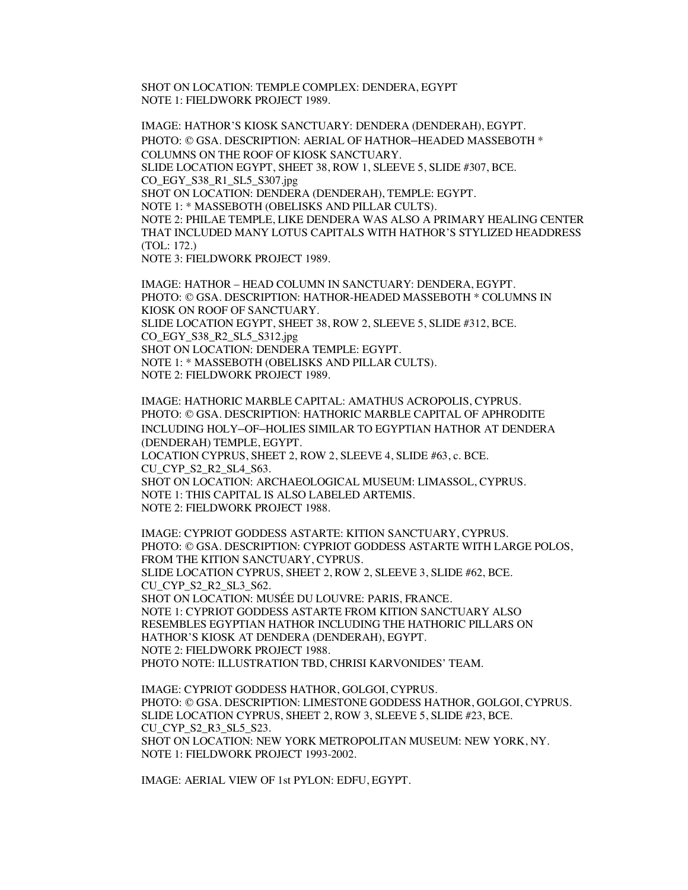SHOT ON LOCATION: TEMPLE COMPLEX: DENDERA, EGYPT NOTE 1: FIELDWORK PROJECT 1989.

IMAGE: HATHOR'S KIOSK SANCTUARY: DENDERA (DENDERAH), EGYPT. PHOTO: © GSA. DESCRIPTION: AERIAL OF HATHOR–HEADED MASSEBOTH \* COLUMNS ON THE ROOF OF KIOSK SANCTUARY. SLIDE LOCATION EGYPT, SHEET 38, ROW 1, SLEEVE 5, SLIDE #307, BCE. CO\_EGY\_S38\_R1\_SL5\_S307.jpg SHOT ON LOCATION: DENDERA (DENDERAH), TEMPLE: EGYPT. NOTE 1: \* MASSEBOTH (OBELISKS AND PILLAR CULTS). NOTE 2: PHILAE TEMPLE, LIKE DENDERA WAS ALSO A PRIMARY HEALING CENTER THAT INCLUDED MANY LOTUS CAPITALS WITH HATHOR'S STYLIZED HEADDRESS (TOL: 172.) NOTE 3: FIELDWORK PROJECT 1989.

IMAGE: HATHOR – HEAD COLUMN IN SANCTUARY: DENDERA, EGYPT. PHOTO: © GSA. DESCRIPTION: HATHOR-HEADED MASSEBOTH \* COLUMNS IN KIOSK ON ROOF OF SANCTUARY. SLIDE LOCATION EGYPT, SHEET 38, ROW 2, SLEEVE 5, SLIDE #312, BCE. CO\_EGY\_S38\_R2\_SL5\_S312.jpg SHOT ON LOCATION: DENDERA TEMPLE: EGYPT. NOTE 1: \* MASSEBOTH (OBELISKS AND PILLAR CULTS). NOTE 2: FIELDWORK PROJECT 1989.

IMAGE: HATHORIC MARBLE CAPITAL: AMATHUS ACROPOLIS, CYPRUS. PHOTO: © GSA. DESCRIPTION: HATHORIC MARBLE CAPITAL OF APHRODITE INCLUDING HOLY–OF–HOLIES SIMILAR TO EGYPTIAN HATHOR AT DENDERA (DENDERAH) TEMPLE, EGYPT. LOCATION CYPRUS, SHEET 2, ROW 2, SLEEVE 4, SLIDE #63, c. BCE. CU\_CYP\_S2\_R2\_SL4\_S63. SHOT ON LOCATION: ARCHAEOLOGICAL MUSEUM: LIMASSOL, CYPRUS. NOTE 1: THIS CAPITAL IS ALSO LABELED ARTEMIS. NOTE 2: FIELDWORK PROJECT 1988.

IMAGE: CYPRIOT GODDESS ASTARTE: KITION SANCTUARY, CYPRUS. PHOTO: © GSA. DESCRIPTION: CYPRIOT GODDESS ASTARTE WITH LARGE POLOS, FROM THE KITION SANCTUARY, CYPRUS. SLIDE LOCATION CYPRUS, SHEET 2, ROW 2, SLEEVE 3, SLIDE #62, BCE. CU\_CYP\_S2\_R2\_SL3\_S62. SHOT ON LOCATION: MUSÉE DU LOUVRE: PARIS, FRANCE. NOTE 1: CYPRIOT GODDESS ASTARTE FROM KITION SANCTUARY ALSO RESEMBLES EGYPTIAN HATHOR INCLUDING THE HATHORIC PILLARS ON HATHOR'S KIOSK AT DENDERA (DENDERAH), EGYPT. NOTE 2: FIELDWORK PROJECT 1988. PHOTO NOTE: ILLUSTRATION TBD, CHRISI KARVONIDES' TEAM.

IMAGE: CYPRIOT GODDESS HATHOR, GOLGOI, CYPRUS. PHOTO: © GSA. DESCRIPTION: LIMESTONE GODDESS HATHOR, GOLGOI, CYPRUS. SLIDE LOCATION CYPRUS, SHEET 2, ROW 3, SLEEVE 5, SLIDE #23, BCE. CU\_CYP\_S2\_R3\_SL5\_S23. SHOT ON LOCATION: NEW YORK METROPOLITAN MUSEUM: NEW YORK, NY. NOTE 1: FIELDWORK PROJECT 1993-2002.

IMAGE: AERIAL VIEW OF 1st PYLON: EDFU, EGYPT.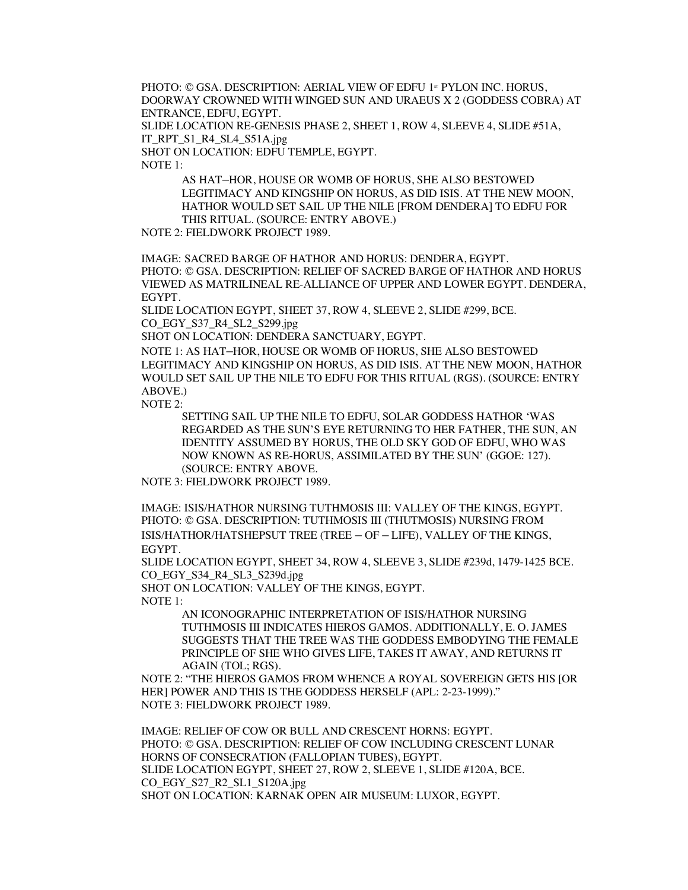PHOTO: © GSA. DESCRIPTION: AERIAL VIEW OF EDFU 1<sup>st</sup> PYLON INC. HORUS, DOORWAY CROWNED WITH WINGED SUN AND URAEUS X 2 (GODDESS COBRA) AT ENTRANCE, EDFU, EGYPT.

SLIDE LOCATION RE-GENESIS PHASE 2, SHEET 1, ROW 4, SLEEVE 4, SLIDE #51A, IT\_RPT\_S1\_R4\_SL4\_S51A.jpg

SHOT ON LOCATION: EDFU TEMPLE, EGYPT.

NOTE 1:

AS HAT–HOR, HOUSE OR WOMB OF HORUS, SHE ALSO BESTOWED LEGITIMACY AND KINGSHIP ON HORUS, AS DID ISIS. AT THE NEW MOON, HATHOR WOULD SET SAIL UP THE NILE [FROM DENDERA] TO EDFU FOR THIS RITUAL. (SOURCE: ENTRY ABOVE.)

NOTE 2: FIELDWORK PROJECT 1989.

IMAGE: SACRED BARGE OF HATHOR AND HORUS: DENDERA, EGYPT. PHOTO: © GSA. DESCRIPTION: RELIEF OF SACRED BARGE OF HATHOR AND HORUS VIEWED AS MATRILINEAL RE-ALLIANCE OF UPPER AND LOWER EGYPT. DENDERA, EGYPT.

SLIDE LOCATION EGYPT, SHEET 37, ROW 4, SLEEVE 2, SLIDE #299, BCE. CO\_EGY\_S37\_R4\_SL2\_S299.jpg

SHOT ON LOCATION: DENDERA SANCTUARY, EGYPT.

NOTE 1: AS HAT–HOR, HOUSE OR WOMB OF HORUS, SHE ALSO BESTOWED LEGITIMACY AND KINGSHIP ON HORUS, AS DID ISIS. AT THE NEW MOON, HATHOR WOULD SET SAIL UP THE NILE TO EDFU FOR THIS RITUAL (RGS). (SOURCE: ENTRY ABOVE.)

NOTE 2:

SETTING SAIL UP THE NILE TO EDFU, SOLAR GODDESS HATHOR 'WAS REGARDED AS THE SUN'S EYE RETURNING TO HER FATHER, THE SUN, AN IDENTITY ASSUMED BY HORUS, THE OLD SKY GOD OF EDFU, WHO WAS NOW KNOWN AS RE-HORUS, ASSIMILATED BY THE SUN' (GGOE: 127). (SOURCE: ENTRY ABOVE.

NOTE 3: FIELDWORK PROJECT 1989.

IMAGE: ISIS/HATHOR NURSING TUTHMOSIS III: VALLEY OF THE KINGS, EGYPT. PHOTO: © GSA. DESCRIPTION: TUTHMOSIS III (THUTMOSIS) NURSING FROM ISIS/HATHOR/HATSHEPSUT TREE (TREE – OF – LIFE), VALLEY OF THE KINGS, EGYPT.

SLIDE LOCATION EGYPT, SHEET 34, ROW 4, SLEEVE 3, SLIDE #239d, 1479-1425 BCE. CO\_EGY\_S34\_R4\_SL3\_S239d.jpg

SHOT ON LOCATION: VALLEY OF THE KINGS, EGYPT.

NOTE 1:

AN ICONOGRAPHIC INTERPRETATION OF ISIS/HATHOR NURSING TUTHMOSIS III INDICATES HIEROS GAMOS. ADDITIONALLY, E. O. JAMES SUGGESTS THAT THE TREE WAS THE GODDESS EMBODYING THE FEMALE PRINCIPLE OF SHE WHO GIVES LIFE, TAKES IT AWAY, AND RETURNS IT AGAIN (TOL; RGS).

NOTE 2: "THE HIEROS GAMOS FROM WHENCE A ROYAL SOVEREIGN GETS HIS [OR HER] POWER AND THIS IS THE GODDESS HERSELF (APL: 2-23-1999)." NOTE 3: FIELDWORK PROJECT 1989.

IMAGE: RELIEF OF COW OR BULL AND CRESCENT HORNS: EGYPT. PHOTO: © GSA. DESCRIPTION: RELIEF OF COW INCLUDING CRESCENT LUNAR HORNS OF CONSECRATION (FALLOPIAN TUBES), EGYPT*.* SLIDE LOCATION EGYPT, SHEET 27, ROW 2, SLEEVE 1, SLIDE #120A, BCE. CO\_EGY\_S27\_R2\_SL1\_S120A.jpg SHOT ON LOCATION: KARNAK OPEN AIR MUSEUM: LUXOR, EGYPT.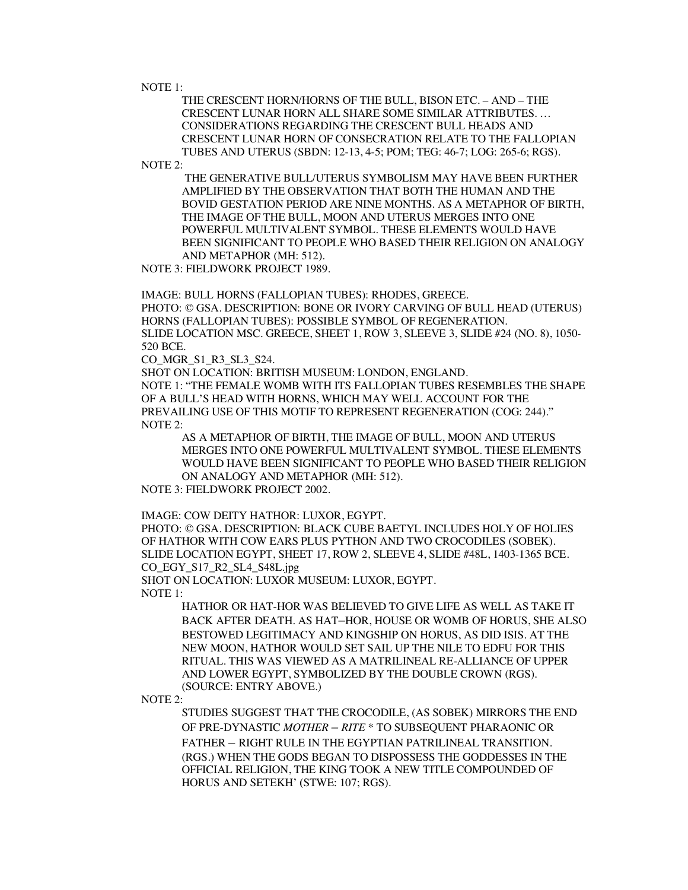NOTE 1:

THE CRESCENT HORN/HORNS OF THE BULL, BISON ETC. – AND – THE CRESCENT LUNAR HORN ALL SHARE SOME SIMILAR ATTRIBUTES. … CONSIDERATIONS REGARDING THE CRESCENT BULL HEADS AND CRESCENT LUNAR HORN OF CONSECRATION RELATE TO THE FALLOPIAN TUBES AND UTERUS (SBDN: 12-13, 4-5; POM; TEG: 46-7; LOG: 265-6; RGS).

NOTE 2:

THE GENERATIVE BULL/UTERUS SYMBOLISM MAY HAVE BEEN FURTHER AMPLIFIED BY THE OBSERVATION THAT BOTH THE HUMAN AND THE BOVID GESTATION PERIOD ARE NINE MONTHS. AS A METAPHOR OF BIRTH, THE IMAGE OF THE BULL, MOON AND UTERUS MERGES INTO ONE POWERFUL MULTIVALENT SYMBOL. THESE ELEMENTS WOULD HAVE BEEN SIGNIFICANT TO PEOPLE WHO BASED THEIR RELIGION ON ANALOGY AND METAPHOR (MH: 512).

NOTE 3: FIELDWORK PROJECT 1989.

IMAGE: BULL HORNS (FALLOPIAN TUBES): RHODES, GREECE. PHOTO: © GSA. DESCRIPTION: BONE OR IVORY CARVING OF BULL HEAD (UTERUS) HORNS (FALLOPIAN TUBES): POSSIBLE SYMBOL OF REGENERATION. SLIDE LOCATION MSC. GREECE, SHEET 1, ROW 3, SLEEVE 3, SLIDE #24 (NO. 8), 1050- 520 BCE.

CO\_MGR\_S1\_R3\_SL3\_S24.

SHOT ON LOCATION: BRITISH MUSEUM: LONDON, ENGLAND.

NOTE 1: "THE FEMALE WOMB WITH ITS FALLOPIAN TUBES RESEMBLES THE SHAPE OF A BULL'S HEAD WITH HORNS, WHICH MAY WELL ACCOUNT FOR THE PREVAILING USE OF THIS MOTIF TO REPRESENT REGENERATION (COG: 244)." NOTE 2:

AS A METAPHOR OF BIRTH, THE IMAGE OF BULL, MOON AND UTERUS MERGES INTO ONE POWERFUL MULTIVALENT SYMBOL. THESE ELEMENTS WOULD HAVE BEEN SIGNIFICANT TO PEOPLE WHO BASED THEIR RELIGION ON ANALOGY AND METAPHOR (MH: 512).

NOTE 3: FIELDWORK PROJECT 2002.

IMAGE: COW DEITY HATHOR: LUXOR, EGYPT.

PHOTO: © GSA. DESCRIPTION: BLACK CUBE BAETYL INCLUDES HOLY OF HOLIES OF HATHOR WITH COW EARS PLUS PYTHON AND TWO CROCODILES (SOBEK). SLIDE LOCATION EGYPT, SHEET 17, ROW 2, SLEEVE 4, SLIDE #48L, 1403-1365 BCE. CO\_EGY\_S17\_R2\_SL4\_S48L.jpg

SHOT ON LOCATION: LUXOR MUSEUM: LUXOR, EGYPT.

NOTE 1:

HATHOR OR HAT-HOR WAS BELIEVED TO GIVE LIFE AS WELL AS TAKE IT BACK AFTER DEATH. AS HAT–HOR, HOUSE OR WOMB OF HORUS, SHE ALSO BESTOWED LEGITIMACY AND KINGSHIP ON HORUS, AS DID ISIS. AT THE NEW MOON, HATHOR WOULD SET SAIL UP THE NILE TO EDFU FOR THIS RITUAL. THIS WAS VIEWED AS A MATRILINEAL RE-ALLIANCE OF UPPER AND LOWER EGYPT, SYMBOLIZED BY THE DOUBLE CROWN (RGS). (SOURCE: ENTRY ABOVE.)

NOTE 2:

STUDIES SUGGEST THAT THE CROCODILE, (AS SOBEK) MIRRORS THE END OF PRE-DYNASTIC *MOTHER – RITE* \* TO SUBSEQUENT PHARAONIC OR FATHER – RIGHT RULE IN THE EGYPTIAN PATRILINEAL TRANSITION. (RGS.) WHEN THE GODS BEGAN TO DISPOSSESS THE GODDESSES IN THE OFFICIAL RELIGION, THE KING TOOK A NEW TITLE COMPOUNDED OF HORUS AND SETEKH' **(**STWE: 107; RGS).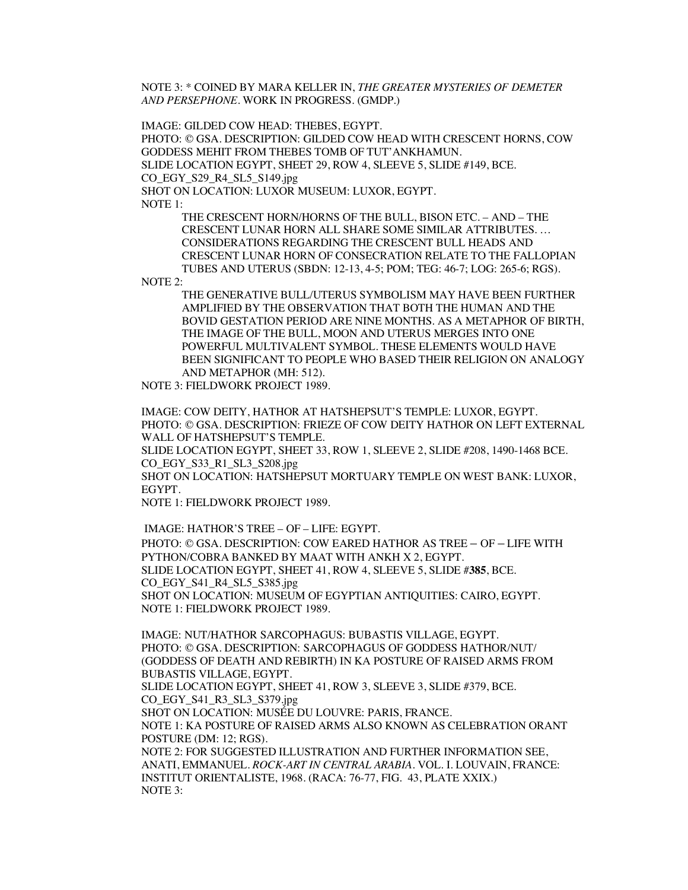NOTE 3: \* COINED BY MARA KELLER IN, *THE GREATER MYSTERIES OF DEMETER AND PERSEPHONE*. WORK IN PROGRESS. (GMDP.)

IMAGE: GILDED COW HEAD: THEBES, EGYPT. PHOTO: © GSA. DESCRIPTION: GILDED COW HEAD WITH CRESCENT HORNS, COW GODDESS MEHIT FROM THEBES TOMB OF TUT'ANKHAMUN. SLIDE LOCATION EGYPT, SHEET 29, ROW 4, SLEEVE 5, SLIDE #149, BCE. CO\_EGY\_S29\_R4\_SL5\_S149.jpg SHOT ON LOCATION: LUXOR MUSEUM: LUXOR, EGYPT. NOTE 1:

THE CRESCENT HORN/HORNS OF THE BULL, BISON ETC. – AND – THE CRESCENT LUNAR HORN ALL SHARE SOME SIMILAR ATTRIBUTES. … CONSIDERATIONS REGARDING THE CRESCENT BULL HEADS AND CRESCENT LUNAR HORN OF CONSECRATION RELATE TO THE FALLOPIAN TUBES AND UTERUS (SBDN: 12-13, 4-5; POM; TEG: 46-7; LOG: 265-6; RGS).

NOTE 2:

THE GENERATIVE BULL/UTERUS SYMBOLISM MAY HAVE BEEN FURTHER AMPLIFIED BY THE OBSERVATION THAT BOTH THE HUMAN AND THE BOVID GESTATION PERIOD ARE NINE MONTHS. AS A METAPHOR OF BIRTH, THE IMAGE OF THE BULL, MOON AND UTERUS MERGES INTO ONE POWERFUL MULTIVALENT SYMBOL. THESE ELEMENTS WOULD HAVE BEEN SIGNIFICANT TO PEOPLE WHO BASED THEIR RELIGION ON ANALOGY AND METAPHOR (MH: 512).

NOTE 3: FIELDWORK PROJECT 1989.

IMAGE: COW DEITY, HATHOR AT HATSHEPSUT'S TEMPLE: LUXOR, EGYPT. PHOTO: © GSA. DESCRIPTION: FRIEZE OF COW DEITY HATHOR ON LEFT EXTERNAL WALL OF HATSHEPSUT'S TEMPLE.

SLIDE LOCATION EGYPT, SHEET 33, ROW 1, SLEEVE 2, SLIDE #208, 1490-1468 BCE. CO\_EGY\_S33\_R1\_SL3\_S208.jpg

SHOT ON LOCATION: HATSHEPSUT MORTUARY TEMPLE ON WEST BANK: LUXOR, EGYPT.

NOTE 1: FIELDWORK PROJECT 1989.

IMAGE: HATHOR'S TREE – OF – LIFE: EGYPT. PHOTO: © GSA. DESCRIPTION: COW EARED HATHOR AS TREE – OF – LIFE WITH PYTHON/COBRA BANKED BY MAAT WITH ANKH X 2, EGYPT. SLIDE LOCATION EGYPT, SHEET 41, ROW 4, SLEEVE 5, SLIDE #**385**, BCE. CO\_EGY\_S41\_R4\_SL5\_S385.jpg SHOT ON LOCATION: MUSEUM OF EGYPTIAN ANTIQUITIES: CAIRO, EGYPT. NOTE 1: FIELDWORK PROJECT 1989.

IMAGE: NUT/HATHOR SARCOPHAGUS: BUBASTIS VILLAGE, EGYPT. PHOTO: © GSA. DESCRIPTION: SARCOPHAGUS OF GODDESS HATHOR/NUT/ (GODDESS OF DEATH AND REBIRTH) IN KA POSTURE OF RAISED ARMS FROM BUBASTIS VILLAGE, EGYPT. SLIDE LOCATION EGYPT, SHEET 41, ROW 3, SLEEVE 3, SLIDE #379, BCE.

CO\_EGY\_S41\_R3\_SL3\_S379.jpg SHOT ON LOCATION: MUSÉE DU LOUVRE: PARIS, FRANCE.

NOTE 1: KA POSTURE OF RAISED ARMS ALSO KNOWN AS CELEBRATION ORANT POSTURE (DM: 12; RGS).

NOTE 2: FOR SUGGESTED ILLUSTRATION AND FURTHER INFORMATION SEE, ANATI, EMMANUEL. *ROCK-ART IN CENTRAL ARABIA.* VOL. I. LOUVAIN, FRANCE: INSTITUT ORIENTALISTE, 1968. (RACA: 76-77, FIG. 43, PLATE XXIX.) NOTE 3: